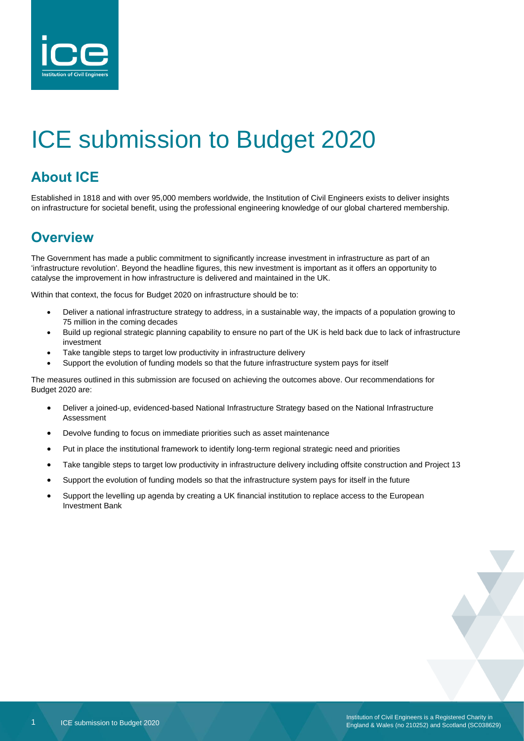

# ICE submission to Budget 2020

# **About ICE**

Established in 1818 and with over 95,000 members worldwide, the Institution of Civil Engineers exists to deliver insights on infrastructure for societal benefit, using the professional engineering knowledge of our global chartered membership.

# **Overview**

The Government has made a public commitment to significantly increase investment in infrastructure as part of an 'infrastructure revolution'. Beyond the headline figures, this new investment is important as it offers an opportunity to catalyse the improvement in how infrastructure is delivered and maintained in the UK.

Within that context, the focus for Budget 2020 on infrastructure should be to:

- Deliver a national infrastructure strategy to address, in a sustainable way, the impacts of a population growing to 75 million in the coming decades
- Build up regional strategic planning capability to ensure no part of the UK is held back due to lack of infrastructure investment
- Take tangible steps to target low productivity in infrastructure delivery
- Support the evolution of funding models so that the future infrastructure system pays for itself

The measures outlined in this submission are focused on achieving the outcomes above. Our recommendations for Budget 2020 are:

- Deliver a joined-up, evidenced-based National Infrastructure Strategy based on the National Infrastructure Assessment
- Devolve funding to focus on immediate priorities such as asset maintenance
- Put in place the institutional framework to identify long-term regional strategic need and priorities
- Take tangible steps to target low productivity in infrastructure delivery including offsite construction and Project 13
- Support the evolution of funding models so that the infrastructure system pays for itself in the future
- Support the levelling up agenda by creating a UK financial institution to replace access to the European Investment Bank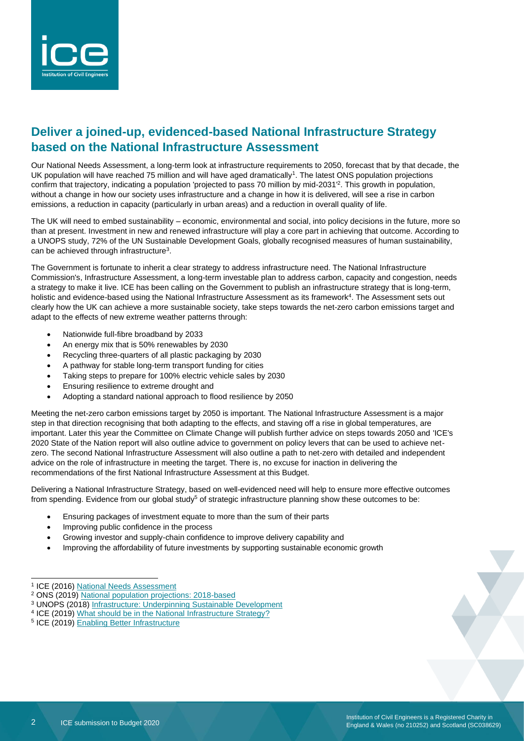

#### **Deliver a joined-up, evidenced-based National Infrastructure Strategy based on the National Infrastructure Assessment**

Our National Needs Assessment, a long-term look at infrastructure requirements to 2050, forecast that by that decade, the UK population will have reached 75 million and will have aged dramatically<sup>1</sup>. The latest ONS population projections confirm that trajectory, indicating a population 'projected to pass 70 million by mid-2031' 2 . This growth in population, without a change in how our society uses infrastructure and a change in how it is delivered, will see a rise in carbon emissions, a reduction in capacity (particularly in urban areas) and a reduction in overall quality of life.

The UK will need to embed sustainability – economic, environmental and social, into policy decisions in the future, more so than at present. Investment in new and renewed infrastructure will play a core part in achieving that outcome. According to a UNOPS study, 72% of the UN Sustainable Development Goals, globally recognised measures of human sustainability, can be achieved through infrastructure<sup>3</sup>.

The Government is fortunate to inherit a clear strategy to address infrastructure need. The National Infrastructure Commission's, Infrastructure Assessment, a long-term investable plan to address carbon, capacity and congestion, needs a strategy to make it live. ICE has been calling on the Government to publish an infrastructure strategy that is long-term, holistic and evidence-based using the National Infrastructure Assessment as its framework<sup>4</sup>. The Assessment sets out clearly how the UK can achieve a more sustainable society, take steps towards the net-zero carbon emissions target and adapt to the effects of new extreme weather patterns through:

- Nationwide full-fibre broadband by 2033
- An energy mix that is 50% renewables by 2030
- Recycling three-quarters of all plastic packaging by 2030
- A pathway for stable long-term transport funding for cities
- Taking steps to prepare for 100% electric vehicle sales by 2030
- Ensuring resilience to extreme drought and
- Adopting a standard national approach to flood resilience by 2050

Meeting the net-zero carbon emissions target by 2050 is important. The National Infrastructure Assessment is a major step in that direction recognising that both adapting to the effects, and staving off a rise in global temperatures, are important. Later this year the Committee on Climate Change will publish further advice on steps towards 2050 and 'ICE's 2020 State of the Nation report will also outline advice to government on policy levers that can be used to achieve netzero. The second National Infrastructure Assessment will also outline a path to net-zero with detailed and independent advice on the role of infrastructure in meeting the target. There is, no excuse for inaction in delivering the recommendations of the first National Infrastructure Assessment at this Budget.

Delivering a National Infrastructure Strategy, based on well-evidenced need will help to ensure more effective outcomes from spending. Evidence from our global study<sup>5</sup> of strategic infrastructure planning show these outcomes to be:

- Ensuring packages of investment equate to more than the sum of their parts
- Improving public confidence in the process
- Growing investor and supply-chain confidence to improve delivery capability and
- Improving the affordability of future investments by supporting sustainable economic growth

<sup>&</sup>lt;sup>1</sup> ICE (2016) [National Needs Assessment](https://www.ice.org.uk/getattachment/news-and-insight/policy/national-needs-assessment-a-vision-for-uk-infrastr/National-Needs-Assessment-PDF-(1).pdf.aspx#_ga=2.214108692.2045950328.1580986812-236094693.1580986811)

<sup>2</sup> ONS (2019) [National population projections: 2018-based](https://www.ons.gov.uk/peoplepopulationandcommunity/populationandmigration/populationprojections/bulletins/nationalpopulationprojections/2018based)

<sup>3</sup> UNOPS (2018) [Infrastructure: Underpinning Sustainable Development](https://www.itrc.org.uk/wp-content/PDFs/ITRC-UNOPS-Infrastructure_Underpining_Sustainable%20Development.pdf)

<sup>&</sup>lt;sup>4</sup> ICE (2019) [What should be in the National Infrastructure Strategy?](https://www.ice.org.uk/news-and-insight/policy/what-should-national-infrastructure-strategy)

<sup>&</sup>lt;sup>5</sup> ICE (2019) [Enabling Better Infrastructure](https://www.ice.org.uk/ICEDevelopmentWebPortal/media/Documents/Media/ice-enabling-better-infrastructure-report.pdf)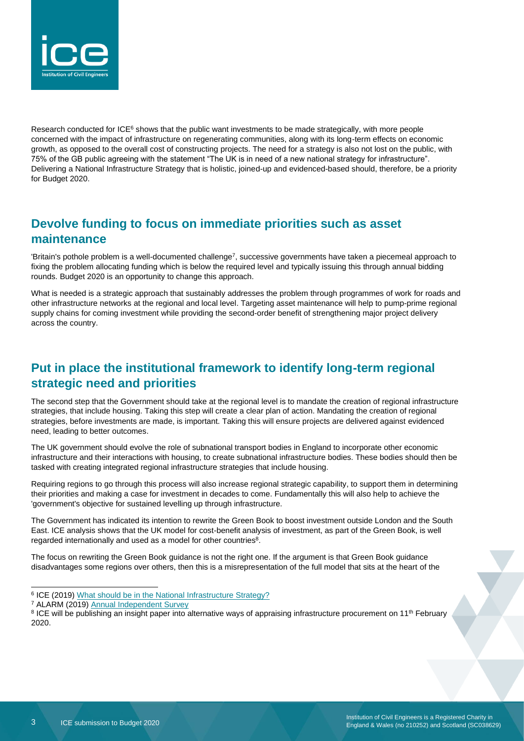

Research conducted for ICE<sup>6</sup> shows that the public want investments to be made strategically, with more people concerned with the impact of infrastructure on regenerating communities, along with its long-term effects on economic growth, as opposed to the overall cost of constructing projects. The need for a strategy is also not lost on the public, with 75% of the GB public agreeing with the statement "The UK is in need of a new national strategy for infrastructure". Delivering a National Infrastructure Strategy that is holistic, joined-up and evidenced-based should, therefore, be a priority for Budget 2020.

## **Devolve funding to focus on immediate priorities such as asset maintenance**

'Britain's pothole problem is a well-documented challenge<sup>7</sup>, successive governments have taken a piecemeal approach to fixing the problem allocating funding which is below the required level and typically issuing this through annual bidding rounds. Budget 2020 is an opportunity to change this approach.

What is needed is a strategic approach that sustainably addresses the problem through programmes of work for roads and other infrastructure networks at the regional and local level. Targeting asset maintenance will help to pump-prime regional supply chains for coming investment while providing the second-order benefit of strengthening major project delivery across the country.

## **Put in place the institutional framework to identify long-term regional strategic need and priorities**

The second step that the Government should take at the regional level is to mandate the creation of regional infrastructure strategies, that include housing. Taking this step will create a clear plan of action. Mandating the creation of regional strategies, before investments are made, is important. Taking this will ensure projects are delivered against evidenced need, leading to better outcomes.

The UK government should evolve the role of subnational transport bodies in England to incorporate other economic infrastructure and their interactions with housing, to create subnational infrastructure bodies. These bodies should then be tasked with creating integrated regional infrastructure strategies that include housing.

Requiring regions to go through this process will also increase regional strategic capability, to support them in determining their priorities and making a case for investment in decades to come. Fundamentally this will also help to achieve the 'government's objective for sustained levelling up through infrastructure.

The Government has indicated its intention to rewrite the Green Book to boost investment outside London and the South East. ICE analysis shows that the UK model for cost-benefit analysis of investment, as part of the Green Book, is well regarded internationally and used as a model for other countries $8$ .

The focus on rewriting the Green Book guidance is not the right one. If the argument is that Green Book guidance disadvantages some regions over others, then this is a misrepresentation of the full model that sits at the heart of the

- <sup>6</sup> ICE (2019) [What should be in the National Infrastructure Strategy?](https://www.ice.org.uk/news-and-insight/policy/what-should-national-infrastructure-strategy)
- <sup>7</sup> ALARM (2019) [Annual Independent Survey](https://www.asphaltuk.org/alarm-survey-page/)

<sup>&</sup>lt;sup>8</sup> ICE will be publishing an insight paper into alternative ways of appraising infrastructure procurement on 11<sup>th</sup> February 2020.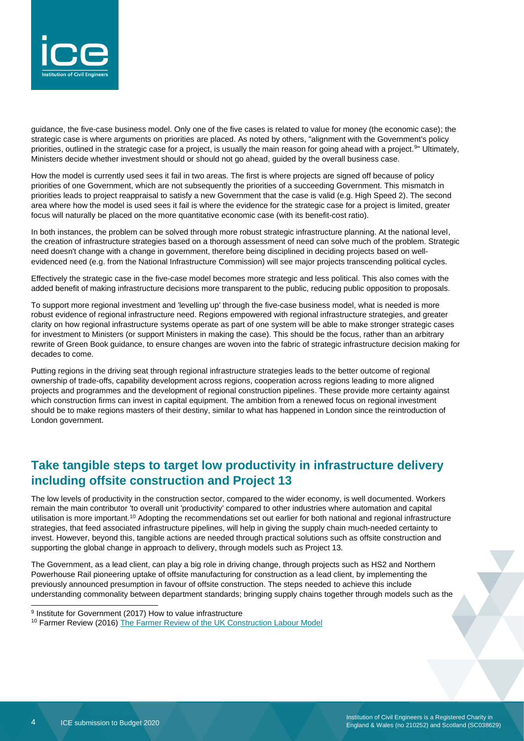

guidance, the five-case business model. Only one of the five cases is related to value for money (the economic case); the strategic case is where arguments on priorities are placed. As noted by others, "alignment with the Government's policy priorities, outlined in the strategic case for a project, is usually the main reason for going ahead with a project.<sup>9</sup>" Ultimately, Ministers decide whether investment should or should not go ahead, guided by the overall business case.

How the model is currently used sees it fail in two areas. The first is where projects are signed off because of policy priorities of one Government, which are not subsequently the priorities of a succeeding Government. This mismatch in priorities leads to project reappraisal to satisfy a new Government that the case is valid (e.g. High Speed 2). The second area where how the model is used sees it fail is where the evidence for the strategic case for a project is limited, greater focus will naturally be placed on the more quantitative economic case (with its benefit-cost ratio).

In both instances, the problem can be solved through more robust strategic infrastructure planning. At the national level, the creation of infrastructure strategies based on a thorough assessment of need can solve much of the problem. Strategic need doesn't change with a change in government, therefore being disciplined in deciding projects based on wellevidenced need (e.g. from the National Infrastructure Commission) will see major projects transcending political cycles.

Effectively the strategic case in the five-case model becomes more strategic and less political. This also comes with the added benefit of making infrastructure decisions more transparent to the public, reducing public opposition to proposals.

To support more regional investment and 'levelling up' through the five-case business model, what is needed is more robust evidence of regional infrastructure need. Regions empowered with regional infrastructure strategies, and greater clarity on how regional infrastructure systems operate as part of one system will be able to make stronger strategic cases for investment to Ministers (or support Ministers in making the case). This should be the focus, rather than an arbitrary rewrite of Green Book guidance, to ensure changes are woven into the fabric of strategic infrastructure decision making for decades to come.

Putting regions in the driving seat through regional infrastructure strategies leads to the better outcome of regional ownership of trade-offs, capability development across regions, cooperation across regions leading to more aligned projects and programmes and the development of regional construction pipelines. These provide more certainty against which construction firms can invest in capital equipment. The ambition from a renewed focus on regional investment should be to make regions masters of their destiny, similar to what has happened in London since the reintroduction of London government.

#### **Take tangible steps to target low productivity in infrastructure delivery including offsite construction and Project 13**

The low levels of productivity in the construction sector, compared to the wider economy, is well documented. Workers remain the main contributor 'to overall unit 'productivity' compared to other industries where automation and capital utilisation is more important.<sup>10</sup> Adopting the recommendations set out earlier for both national and regional infrastructure strategies, that feed associated infrastructure pipelines, will help in giving the supply chain much-needed certainty to invest. However, beyond this, tangible actions are needed through practical solutions such as offsite construction and supporting the global change in approach to delivery, through models such as Project 13.

The Government, as a lead client, can play a big role in driving change, through projects such as HS2 and Northern Powerhouse Rail pioneering uptake of offsite manufacturing for construction as a lead client, by implementing the previously announced presumption in favour of offsite construction. The steps needed to achieve this include understanding commonality between department standards; bringing supply chains together through models such as the

<sup>&</sup>lt;sup>9</sup> Institute for Government (2017) How to value infrastructure

<sup>&</sup>lt;sup>10</sup> Farmer Review (2016[\) The Farmer Review of the UK](http://www.constructionleadershipcouncil.co.uk/wp-content/uploads/2016/10/Farmer-Review.pdf) Construction Labour Model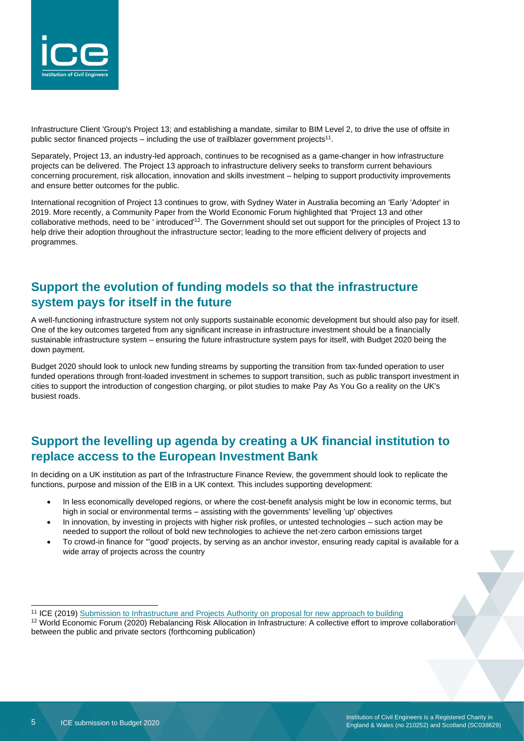

Infrastructure Client 'Group's Project 13; and establishing a mandate, similar to BIM Level 2, to drive the use of offsite in public sector financed projects  $-$  including the use of trailblazer government projects<sup>11</sup>.

Separately, Project 13, an industry-led approach, continues to be recognised as a game-changer in how infrastructure projects can be delivered. The Project 13 approach to infrastructure delivery seeks to transform current behaviours concerning procurement, risk allocation, innovation and skills investment – helping to support productivity improvements and ensure better outcomes for the public.

International recognition of Project 13 continues to grow, with Sydney Water in Australia becoming an 'Early 'Adopter' in 2019. More recently, a Community Paper from the World Economic Forum highlighted that 'Project 13 and other collaborative methods, need to be ' introduced'<sup>12</sup>. The Government should set out support for the principles of Project 13 to help drive their adoption throughout the infrastructure sector; leading to the more efficient delivery of projects and programmes.

### **Support the evolution of funding models so that the infrastructure system pays for itself in the future**

A well-functioning infrastructure system not only supports sustainable economic development but should also pay for itself. One of the key outcomes targeted from any significant increase in infrastructure investment should be a financially sustainable infrastructure system – ensuring the future infrastructure system pays for itself, with Budget 2020 being the down payment.

Budget 2020 should look to unlock new funding streams by supporting the transition from tax-funded operation to user funded operations through front-loaded investment in schemes to support transition, such as public transport investment in cities to support the introduction of congestion charging, or pilot studies to make Pay As You Go a reality on the UK's busiest roads.

#### **Support the levelling up agenda by creating a UK financial institution to replace access to the European Investment Bank**

In deciding on a UK institution as part of the Infrastructure Finance Review, the government should look to replicate the functions, purpose and mission of the EIB in a UK context. This includes supporting development:

- In less economically developed regions, or where the cost-benefit analysis might be low in economic terms, but high in social or environmental terms – assisting with the governments' levelling 'up' objectives
- In innovation, by investing in projects with higher risk profiles, or untested technologies such action may be needed to support the rollout of bold new technologies to achieve the net-zero carbon emissions target
- To crowd-in finance for '''good' projects, by serving as an anchor investor, ensuring ready capital is available for a wide array of projects across the country

<sup>11</sup> ICE (2019[\) Submission to Infrastructure and Projects Authority on proposal for new approach to building](https://www.ice.org.uk/news-and-insight/policy/ice-submission-on-p-dfma)

<sup>12</sup> World Economic Forum (2020) Rebalancing Risk Allocation in Infrastructure: A collective effort to improve collaboration between the public and private sectors (forthcoming publication)